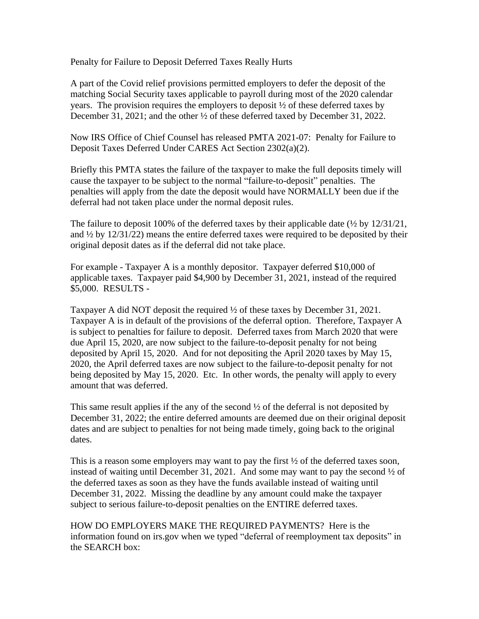Penalty for Failure to Deposit Deferred Taxes Really Hurts

A part of the Covid relief provisions permitted employers to defer the deposit of the matching Social Security taxes applicable to payroll during most of the 2020 calendar years. The provision requires the employers to deposit ½ of these deferred taxes by December 31, 2021; and the other ½ of these deferred taxed by December 31, 2022.

Now IRS Office of Chief Counsel has released PMTA 2021-07: Penalty for Failure to Deposit Taxes Deferred Under CARES Act Section 2302(a)(2).

Briefly this PMTA states the failure of the taxpayer to make the full deposits timely will cause the taxpayer to be subject to the normal "failure-to-deposit" penalties. The penalties will apply from the date the deposit would have NORMALLY been due if the deferral had not taken place under the normal deposit rules.

The failure to deposit 100% of the deferred taxes by their applicable date (½ by 12/31/21, and  $\frac{1}{2}$  by 12/31/22) means the entire deferred taxes were required to be deposited by their original deposit dates as if the deferral did not take place.

For example - Taxpayer A is a monthly depositor. Taxpayer deferred \$10,000 of applicable taxes. Taxpayer paid \$4,900 by December 31, 2021, instead of the required \$5,000. RESULTS -

Taxpayer A did NOT deposit the required ½ of these taxes by December 31, 2021. Taxpayer A is in default of the provisions of the deferral option. Therefore, Taxpayer A is subject to penalties for failure to deposit. Deferred taxes from March 2020 that were due April 15, 2020, are now subject to the failure-to-deposit penalty for not being deposited by April 15, 2020. And for not depositing the April 2020 taxes by May 15, 2020, the April deferred taxes are now subject to the failure-to-deposit penalty for not being deposited by May 15, 2020. Etc. In other words, the penalty will apply to every amount that was deferred.

This same result applies if the any of the second  $\frac{1}{2}$  of the deferral is not deposited by December 31, 2022; the entire deferred amounts are deemed due on their original deposit dates and are subject to penalties for not being made timely, going back to the original dates.

This is a reason some employers may want to pay the first  $\frac{1}{2}$  of the deferred taxes soon, instead of waiting until December 31, 2021. And some may want to pay the second ½ of the deferred taxes as soon as they have the funds available instead of waiting until December 31, 2022. Missing the deadline by any amount could make the taxpayer subject to serious failure-to-deposit penalties on the ENTIRE deferred taxes.

HOW DO EMPLOYERS MAKE THE REQUIRED PAYMENTS? Here is the information found on irs.gov when we typed "deferral of reemployment tax deposits" in the SEARCH box: